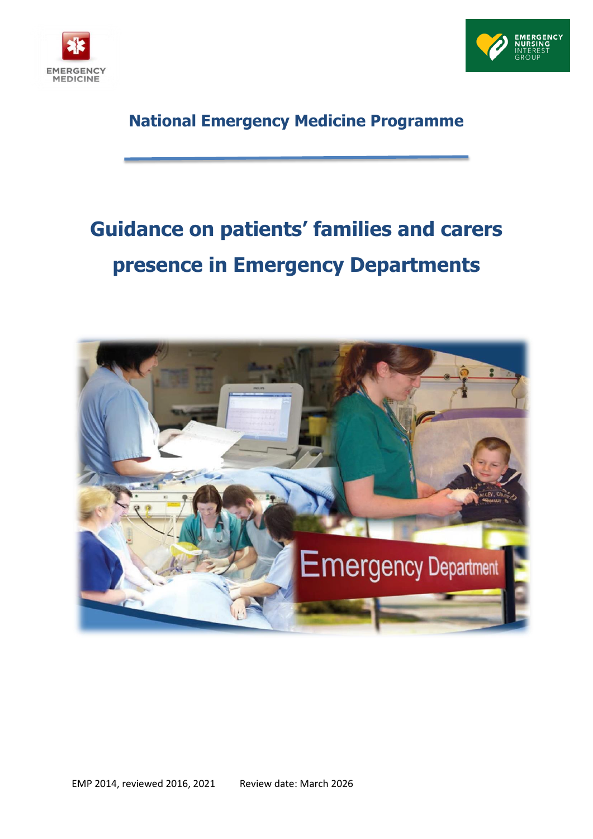



# **National Emergency Medicine Programme**

# **Guidance on patients' families and carers presence in Emergency Departments**

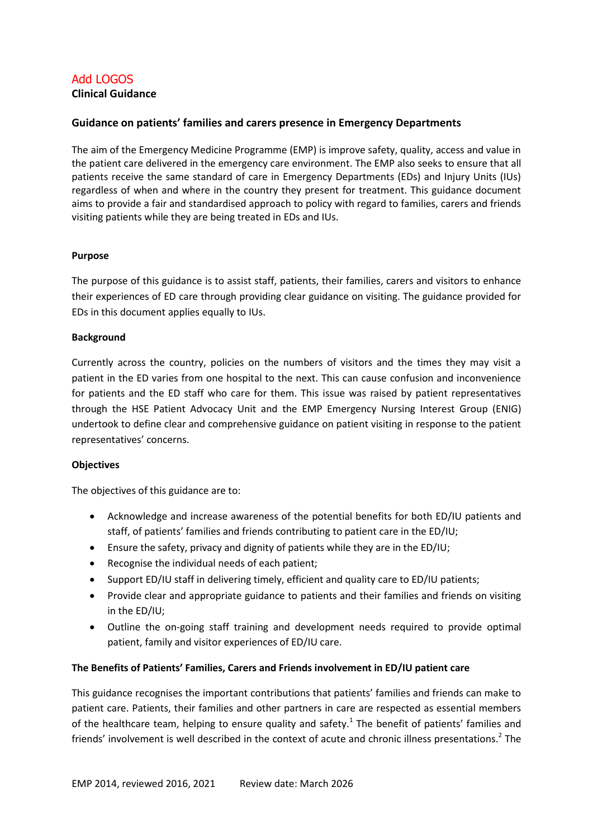# Add LOGOS **Clinical Guidance**

# **Guidance on patients' families and carers presence in Emergency Departments**

The aim of the Emergency Medicine Programme (EMP) is improve safety, quality, access and value in the patient care delivered in the emergency care environment. The EMP also seeks to ensure that all patients receive the same standard of care in Emergency Departments (EDs) and Injury Units (IUs) regardless of when and where in the country they present for treatment. This guidance document aims to provide a fair and standardised approach to policy with regard to families, carers and friends visiting patients while they are being treated in EDs and IUs.

#### **Purpose**

The purpose of this guidance is to assist staff, patients, their families, carers and visitors to enhance their experiences of ED care through providing clear guidance on visiting. The guidance provided for EDs in this document applies equally to IUs.

#### **Background**

Currently across the country, policies on the numbers of visitors and the times they may visit a patient in the ED varies from one hospital to the next. This can cause confusion and inconvenience for patients and the ED staff who care for them. This issue was raised by patient representatives through the HSE Patient Advocacy Unit and the EMP Emergency Nursing Interest Group (ENIG) undertook to define clear and comprehensive guidance on patient visiting in response to the patient representatives' concerns.

#### **Objectives**

The objectives of this guidance are to:

- Acknowledge and increase awareness of the potential benefits for both ED/IU patients and staff, of patients' families and friends contributing to patient care in the ED/IU;
- Ensure the safety, privacy and dignity of patients while they are in the ED/IU;
- Recognise the individual needs of each patient;
- Support ED/IU staff in delivering timely, efficient and quality care to ED/IU patients;
- Provide clear and appropriate guidance to patients and their families and friends on visiting in the ED/IU;
- Outline the on-going staff training and development needs required to provide optimal patient, family and visitor experiences of ED/IU care.

#### **The Benefits of Patients' Families, Carers and Friends involvement in ED/IU patient care**

This guidance recognises the important contributions that patients' families and friends can make to patient care. Patients, their families and other partners in care are respected as essential members of the healthcare team, helping to ensure quality and safety.<sup>1</sup> The benefit of patients' families and friends' involvement is well described in the context of acute and chronic illness presentations.<sup>2</sup> The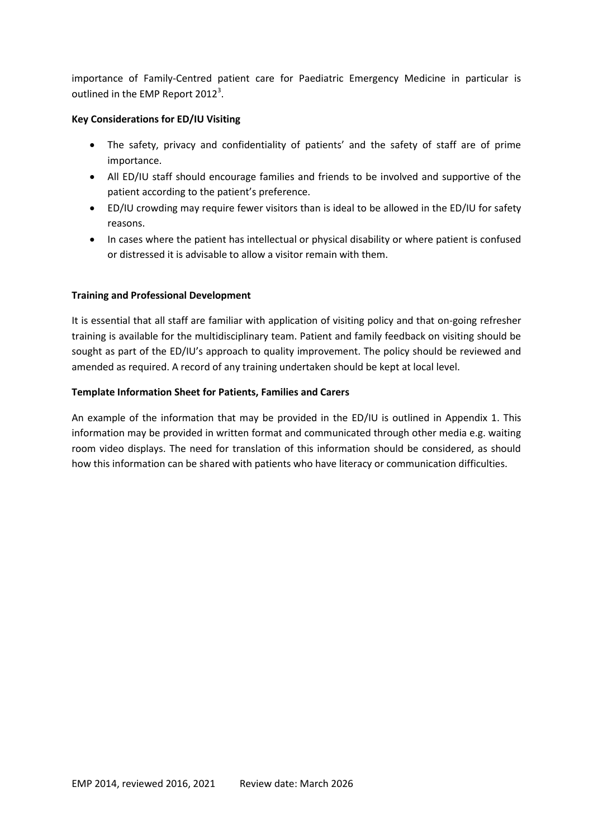importance of Family-Centred patient care for Paediatric Emergency Medicine in particular is outlined in the EMP Report 2012<sup>3</sup>.

# **Key Considerations for ED/IU Visiting**

- The safety, privacy and confidentiality of patients' and the safety of staff are of prime importance.
- All ED/IU staff should encourage families and friends to be involved and supportive of the patient according to the patient's preference.
- ED/IU crowding may require fewer visitors than is ideal to be allowed in the ED/IU for safety reasons.
- In cases where the patient has intellectual or physical disability or where patient is confused or distressed it is advisable to allow a visitor remain with them.

# **Training and Professional Development**

It is essential that all staff are familiar with application of visiting policy and that on-going refresher training is available for the multidisciplinary team. Patient and family feedback on visiting should be sought as part of the ED/IU's approach to quality improvement. The policy should be reviewed and amended as required. A record of any training undertaken should be kept at local level.

#### **Template Information Sheet for Patients, Families and Carers**

An example of the information that may be provided in the ED/IU is outlined in Appendix 1. This information may be provided in written format and communicated through other media e.g. waiting room video displays. The need for translation of this information should be considered, as should how this information can be shared with patients who have literacy or communication difficulties.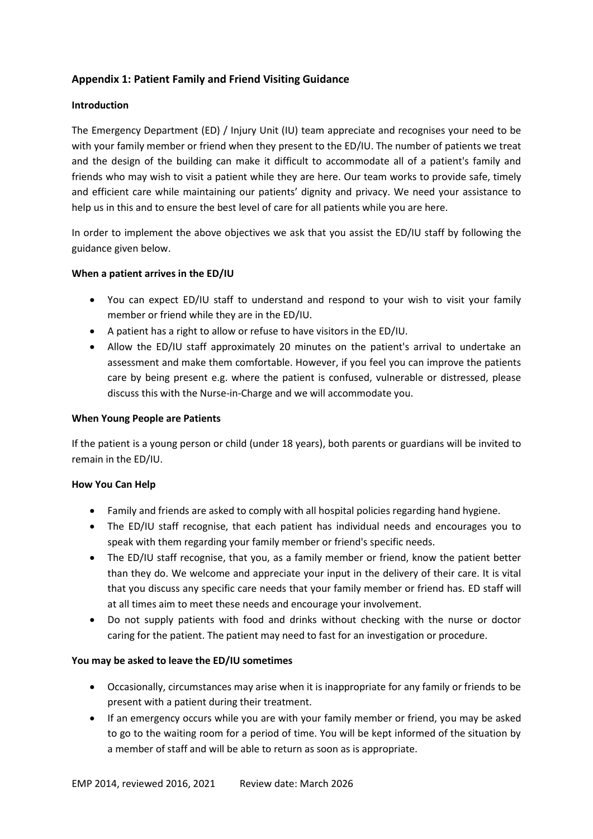# **Appendix 1: Patient Family and Friend Visiting Guidance**

# **Introduction**

The Emergency Department (ED) / Injury Unit (IU) team appreciate and recognises your need to be with your family member or friend when they present to the ED/IU. The number of patients we treat and the design of the building can make it difficult to accommodate all of a patient's family and friends who may wish to visit a patient while they are here. Our team works to provide safe, timely and efficient care while maintaining our patients' dignity and privacy. We need your assistance to help us in this and to ensure the best level of care for all patients while you are here.

In order to implement the above objectives we ask that you assist the ED/IU staff by following the guidance given below.

# **When a patient arrives in the ED/IU**

- You can expect ED/IU staff to understand and respond to your wish to visit your family member or friend while they are in the ED/IU.
- A patient has a right to allow or refuse to have visitors in the ED/IU.
- Allow the ED/IU staff approximately 20 minutes on the patient's arrival to undertake an assessment and make them comfortable. However, if you feel you can improve the patients care by being present e.g. where the patient is confused, vulnerable or distressed, please discuss this with the Nurse-in-Charge and we will accommodate you.

### **When Young People are Patients**

If the patient is a young person or child (under 18 years), both parents or guardians will be invited to remain in the ED/IU.

#### **How You Can Help**

- Family and friends are asked to comply with all hospital policies regarding hand hygiene.
- The ED/IU staff recognise, that each patient has individual needs and encourages you to speak with them regarding your family member or friend's specific needs.
- The ED/IU staff recognise, that you, as a family member or friend, know the patient better than they do. We welcome and appreciate your input in the delivery of their care. It is vital that you discuss any specific care needs that your family member or friend has. ED staff will at all times aim to meet these needs and encourage your involvement.
- Do not supply patients with food and drinks without checking with the nurse or doctor caring for the patient. The patient may need to fast for an investigation or procedure.

#### **You may be asked to leave the ED/IU sometimes**

- Occasionally, circumstances may arise when it is inappropriate for any family or friends to be present with a patient during their treatment.
- If an emergency occurs while you are with your family member or friend, you may be asked to go to the waiting room for a period of time. You will be kept informed of the situation by a member of staff and will be able to return as soon as is appropriate.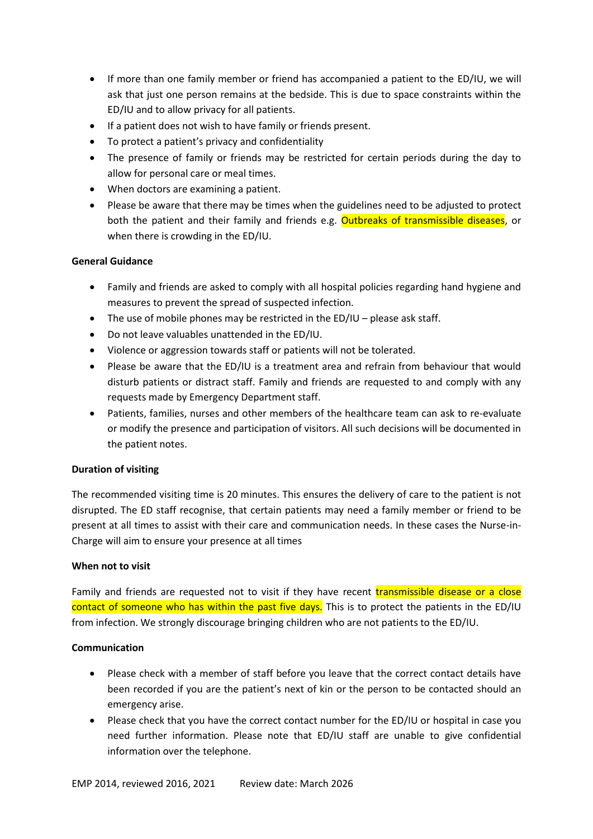- If more than one family member or friend has accompanied a patient to the ED/IU, we will ask that just one person remains at the bedside. This is due to space constraints within the ED/IU and to allow privacy for all patients.
- If a patient does not wish to have family or friends present.
- To protect a patient's privacy and confidentiality
- The presence of family or friends may be restricted for certain periods during the day to allow for personal care or meal times.
- When doctors are examining a patient.
- Please be aware that there may be times when the guidelines need to be adjusted to protect both the patient and their family and friends e.g. **Outbreaks of transmissible diseases**, or when there is crowding in the ED/IU.

# **General Guidance**

- Family and friends are asked to comply with all hospital policies regarding hand hygiene and measures to prevent the spread of suspected infection.
- The use of mobile phones may be restricted in the ED/IU please ask staff.
- Do not leave valuables unattended in the ED/IU.
- Violence or aggression towards staff or patients will not be tolerated.
- Please be aware that the ED/IU is a treatment area and refrain from behaviour that would disturb patients or distract staff. Family and friends are requested to and comply with any requests made by Emergency Department staff.
- Patients, families, nurses and other members of the healthcare team can ask to re-evaluate or modify the presence and participation of visitors. All such decisions will be documented in the patient notes.

#### **Duration of visiting**

The recommended visiting time is 20 minutes. This ensures the delivery of care to the patient is not disrupted. The ED staff recognise, that certain patients may need a family member or friend to be present at all times to assist with their care and communication needs. In these cases the Nurse-in-Charge will aim to ensure your presence at all times

#### **When not to visit**

Family and friends are requested not to visit if they have recent transmissible disease or a close contact of someone who has within the past five days. This is to protect the patients in the ED/IU from infection. We strongly discourage bringing children who are not patients to the ED/IU.

#### **Communication**

- Please check with a member of staff before you leave that the correct contact details have been recorded if you are the patient's next of kin or the person to be contacted should an emergency arise.
- Please check that you have the correct contact number for the ED/IU or hospital in case you need further information. Please note that ED/IU staff are unable to give confidential information over the telephone.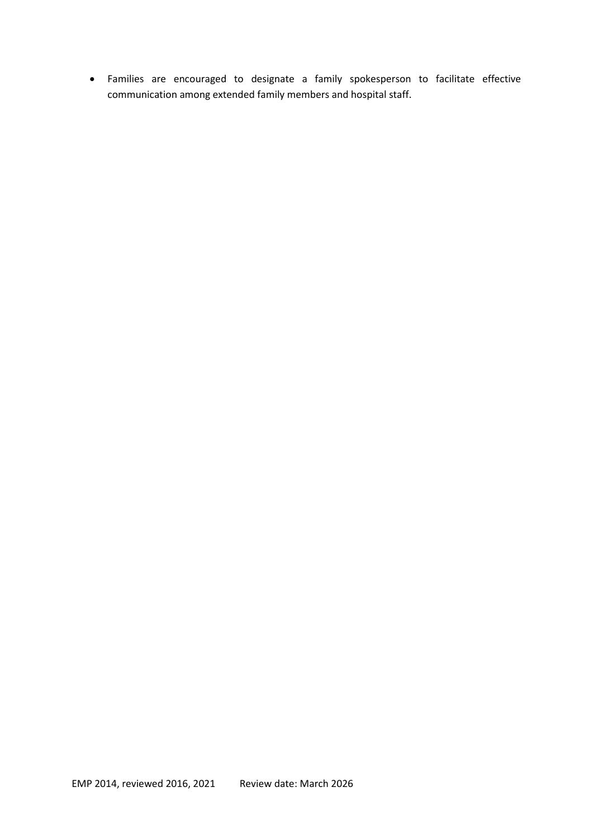Families are encouraged to designate a family spokesperson to facilitate effective communication among extended family members and hospital staff.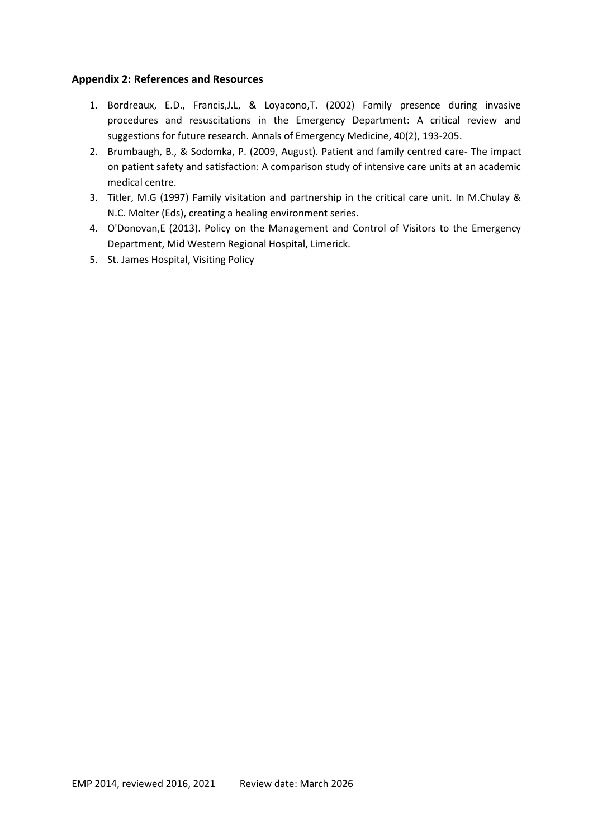# **Appendix 2: References and Resources**

- 1. Bordreaux, E.D., Francis,J.L, & Loyacono,T. (2002) Family presence during invasive procedures and resuscitations in the Emergency Department: A critical review and suggestions for future research. Annals of Emergency Medicine, 40(2), 193-205.
- 2. Brumbaugh, B., & Sodomka, P. (2009, August). Patient and family centred care- The impact on patient safety and satisfaction: A comparison study of intensive care units at an academic medical centre.
- 3. Titler, M.G (1997) Family visitation and partnership in the critical care unit. In M.Chulay & N.C. Molter (Eds), creating a healing environment series.
- 4. O'Donovan,E (2013). Policy on the Management and Control of Visitors to the Emergency Department, Mid Western Regional Hospital, Limerick.
- 5. St. James Hospital, Visiting Policy